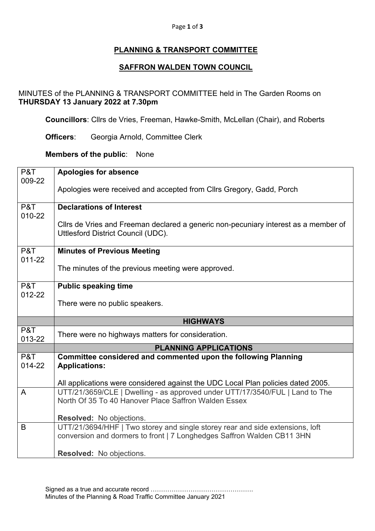#### Page **1** of **3**

# **PLANNING & TRANSPORT COMMITTEE**

## **SAFFRON WALDEN TOWN COUNCIL**

## MINUTES of the PLANNING & TRANSPORT COMMITTEE held in The Garden Rooms on **THURSDAY 13 January 2022 at 7.30pm**

**Councillors**: Cllrs de Vries, Freeman, Hawke-Smith, McLellan (Chair), and Roberts

**Officers**: Georgia Arnold, Committee Clerk

#### **Members of the public**: None

| P&T           | <b>Apologies for absence</b>                                                                                              |
|---------------|---------------------------------------------------------------------------------------------------------------------------|
| 009-22        | Apologies were received and accepted from Cllrs Gregory, Gadd, Porch                                                      |
|               |                                                                                                                           |
| P&T<br>010-22 | <b>Declarations of Interest</b>                                                                                           |
|               | Cllrs de Vries and Freeman declared a generic non-pecuniary interest as a member of<br>Uttlesford District Council (UDC). |
| P&T<br>011-22 | <b>Minutes of Previous Meeting</b>                                                                                        |
|               | The minutes of the previous meeting were approved.                                                                        |
| P&T<br>012-22 | <b>Public speaking time</b>                                                                                               |
|               | There were no public speakers.                                                                                            |
|               | <b>HIGHWAYS</b>                                                                                                           |
| P&T<br>013-22 | There were no highways matters for consideration.                                                                         |
|               | <b>PLANNING APPLICATIONS</b>                                                                                              |
| P&T<br>014-22 | Committee considered and commented upon the following Planning<br><b>Applications:</b>                                    |
|               |                                                                                                                           |
|               |                                                                                                                           |
|               | All applications were considered against the UDC Local Plan policies dated 2005.                                          |
| A             | UTT/21/3659/CLE   Dwelling - as approved under UTT/17/3540/FUL   Land to The                                              |
|               | North Of 35 To 40 Hanover Place Saffron Walden Essex                                                                      |
|               | Resolved: No objections.                                                                                                  |
| B             | UTT/21/3694/HHF   Two storey and single storey rear and side extensions, loft                                             |
|               | conversion and dormers to front   7 Longhedges Saffron Walden CB11 3HN                                                    |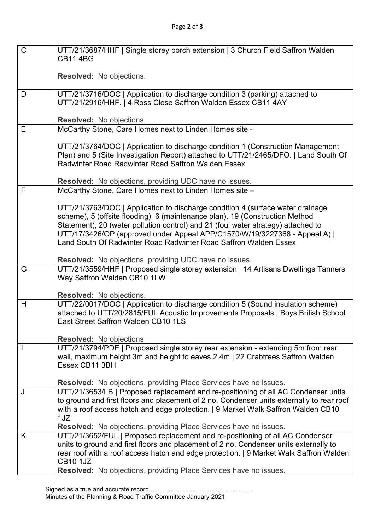| $\mathsf{C}$ | UTT/21/3687/HHF   Single storey porch extension   3 Church Field Saffron Walden                                                                                         |
|--------------|-------------------------------------------------------------------------------------------------------------------------------------------------------------------------|
|              | <b>CB11 4BG</b>                                                                                                                                                         |
|              | <b>Resolved:</b> No objections.                                                                                                                                         |
|              |                                                                                                                                                                         |
| D            | UTT/21/3716/DOC   Application to discharge condition 3 (parking) attached to                                                                                            |
|              | UTT/21/2916/HHF.   4 Ross Close Saffron Walden Essex CB11 4AY                                                                                                           |
|              | Resolved: No objections.                                                                                                                                                |
| E            | McCarthy Stone, Care Homes next to Linden Homes site -                                                                                                                  |
|              |                                                                                                                                                                         |
|              | UTT/21/3764/DOC   Application to discharge condition 1 (Construction Management<br>Plan) and 5 (Site Investigation Report) attached to UTT/21/2465/DFO.   Land South Of |
|              | <b>Radwinter Road Radwinter Road Saffron Walden Essex</b>                                                                                                               |
|              |                                                                                                                                                                         |
|              | <b>Resolved:</b> No objections, providing UDC have no issues.                                                                                                           |
| F            | McCarthy Stone, Care Homes next to Linden Homes site -                                                                                                                  |
|              | UTT/21/3763/DOC   Application to discharge condition 4 (surface water drainage                                                                                          |
|              | scheme), 5 (offsite flooding), 6 (maintenance plan), 19 (Construction Method                                                                                            |
|              | Statement), 20 (water pollution control) and 21 (foul water strategy) attached to                                                                                       |
|              | UTT/17/3426/OP (approved under Appeal APP/C1570/W/19/3227368 - Appeal A)  <br>Land South Of Radwinter Road Radwinter Road Saffron Walden Essex                          |
|              |                                                                                                                                                                         |
|              | Resolved: No objections, providing UDC have no issues.                                                                                                                  |
| G            | UTT/21/3559/HHF   Proposed single storey extension   14 Artisans Dwellings Tanners                                                                                      |
|              | Way Saffron Walden CB10 1LW                                                                                                                                             |
|              | <b>Resolved:</b> No objections.                                                                                                                                         |
| H            | UTT/22/0017/DOC   Application to discharge condition 5 (Sound insulation scheme)                                                                                        |
|              | attached to UTT/20/2815/FUL Acoustic Improvements Proposals   Boys British School                                                                                       |
|              | East Street Saffron Walden CB10 1LS                                                                                                                                     |
|              | <b>Resolved:</b> No objections                                                                                                                                          |
|              | UTT/21/3794/PDE   Proposed single storey rear extension - extending 5m from rear                                                                                        |
|              | wall, maximum height 3m and height to eaves 2.4m   22 Crabtrees Saffron Walden                                                                                          |
|              | Essex CB11 3BH                                                                                                                                                          |
|              | <b>Resolved:</b> No objections, providing Place Services have no issues.                                                                                                |
| J            | UTT/21/3653/LB   Proposed replacement and re-positioning of all AC Condenser units                                                                                      |
|              | to ground and first floors and placement of 2 no. Condenser units externally to rear roof                                                                               |
|              | with a roof access hatch and edge protection.   9 Market Walk Saffron Walden CB10<br>1JZ                                                                                |
|              | Resolved: No objections, providing Place Services have no issues.                                                                                                       |
| K            | UTT/21/3652/FUL   Proposed replacement and re-positioning of all AC Condenser                                                                                           |
|              | units to ground and first floors and placement of 2 no. Condenser units externally to                                                                                   |
|              | rear roof with a roof access hatch and edge protection.   9 Market Walk Saffron Walden                                                                                  |
|              | <b>CB10 1JZ</b><br>Resolved: No objections, providing Place Services have no issues.                                                                                    |
|              |                                                                                                                                                                         |

Signed as a true and accurate record …………………………………………. Minutes of the Planning & Road Traffic Committee January 2021